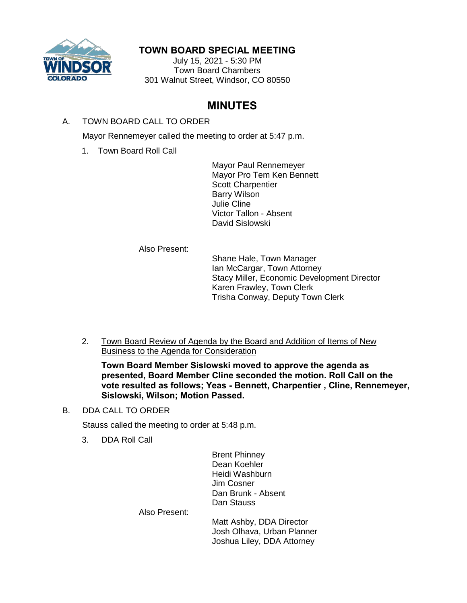

# **TOWN BOARD SPECIAL MEETING**

July 15, 2021 - 5:30 PM Town Board Chambers 301 Walnut Street, Windsor, CO 80550

# **MINUTES**

# A. TOWN BOARD CALL TO ORDER

Mayor Rennemeyer called the meeting to order at 5:47 p.m.

1. Town Board Roll Call

Mayor Paul Rennemeyer Mayor Pro Tem Ken Bennett Scott Charpentier Barry Wilson Julie Cline Victor Tallon - Absent David Sislowski

Also Present:

Shane Hale, Town Manager Ian McCargar, Town Attorney Stacy Miller, Economic Development Director Karen Frawley, Town Clerk Trisha Conway, Deputy Town Clerk

2. Town Board Review of Agenda by the Board and Addition of Items of New Business to the Agenda for Consideration

**Town Board Member Sislowski moved to approve the agenda as presented, Board Member Cline seconded the motion. Roll Call on the vote resulted as follows; Yeas - Bennett, Charpentier , Cline, Rennemeyer, Sislowski, Wilson; Motion Passed.**

## B. DDA CALL TO ORDER

Stauss called the meeting to order at 5:48 p.m.

3. DDA Roll Call

Brent Phinney Dean Koehler Heidi Washburn Jim Cosner Dan Brunk - Absent Dan Stauss

Also Present:

Matt Ashby, DDA Director Josh Olhava, Urban Planner Joshua Liley, DDA Attorney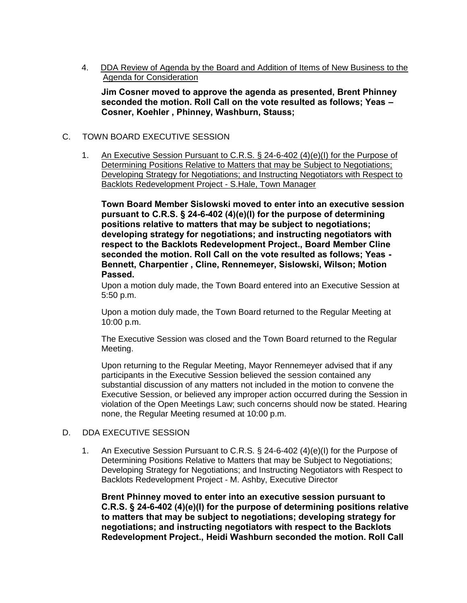4. DDA Review of Agenda by the Board and Addition of Items of New Business to the Agenda for Consideration

**Jim Cosner moved to approve the agenda as presented, Brent Phinney seconded the motion. Roll Call on the vote resulted as follows; Yeas – Cosner, Koehler , Phinney, Washburn, Stauss;**

## C. TOWN BOARD EXECUTIVE SESSION

1. An Executive Session Pursuant to C.R.S. § 24-6-402 (4)(e)(I) for the Purpose of Determining Positions Relative to Matters that may be Subject to Negotiations; Developing Strategy for Negotiations; and Instructing Negotiators with Respect to Backlots Redevelopment Project - S.Hale, Town Manager

**Town Board Member Sislowski moved to enter into an executive session pursuant to C.R.S. § 24-6-402 (4)(e)(I) for the purpose of determining positions relative to matters that may be subject to negotiations; developing strategy for negotiations; and instructing negotiators with respect to the Backlots Redevelopment Project., Board Member Cline seconded the motion. Roll Call on the vote resulted as follows; Yeas - Bennett, Charpentier , Cline, Rennemeyer, Sislowski, Wilson; Motion Passed.**

Upon a motion duly made, the Town Board entered into an Executive Session at 5:50 p.m.

Upon a motion duly made, the Town Board returned to the Regular Meeting at 10:00 p.m.

The Executive Session was closed and the Town Board returned to the Regular Meeting.

Upon returning to the Regular Meeting, Mayor Rennemeyer advised that if any participants in the Executive Session believed the session contained any substantial discussion of any matters not included in the motion to convene the Executive Session, or believed any improper action occurred during the Session in violation of the Open Meetings Law; such concerns should now be stated. Hearing none, the Regular Meeting resumed at 10:00 p.m.

### D. DDA EXECUTIVE SESSION

1. An Executive Session Pursuant to C.R.S. § 24-6-402 (4)(e)(I) for the Purpose of Determining Positions Relative to Matters that may be Subject to Negotiations; Developing Strategy for Negotiations; and Instructing Negotiators with Respect to Backlots Redevelopment Project - M. Ashby, Executive Director

**Brent Phinney moved to enter into an executive session pursuant to C.R.S. § 24-6-402 (4)(e)(I) for the purpose of determining positions relative to matters that may be subject to negotiations; developing strategy for negotiations; and instructing negotiators with respect to the Backlots Redevelopment Project., Heidi Washburn seconded the motion. Roll Call**